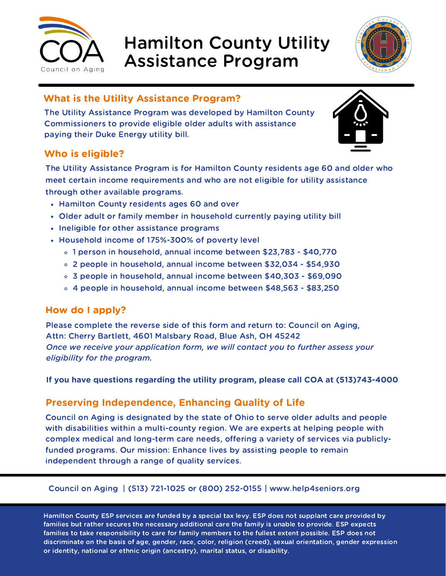

# Hamilton County Utility Assistance Program



## What is the Utility Assistance Program?

The Utility Assistance Program was developed by Hamilton County Commissioners to provide eligible older adults with assistance paying their Duke Energy utility bill.

### Who is eligible?

The Utility Assistance Program is for Hamilton County residents age 60 and older who meet certain income requirements and who are not eligible for utility assistance through other available programs.

- Hamilton County residents ages 60 and over
- Older adult or family member in household currently paying utility bill
- Ineligible for other assistance programs
- Household income of 175%-300% of poverty level
	- 1 person in household, annual income between \$23,783 \$40,770
	- 2 people in household, annual income between \$32,034 \$54,930
	- 3 people in household, annual income between \$40,303 \$69,090
	- 4 people in household, annual income between \$48,563 \$83,250

#### How do I apply?

Please complete the reverse side of this form and return to: Council on Aging, Attn: Cherry Bartlett, 4601 Malsbary Road, Blue Ash, OH 45242 *Once we receive your application form, we will contact you to further assess your eligibility for the program.*

**If you have questions regarding the utility program, please call COA at (513)743-4000**

#### **Preserving Independence, Enhancing Quality of Life**

Council on Aging is designated by the state of Ohio to serve older adults and people with disabilities within a multi-county region. We are experts at helping people with complex medical and long-term care needs, offering a variety of services via publiclyfunded programs. Our mission: Enhance lives by assisting people to remain independent through a range of quality services.

#### Council on Aging | (513) 721-1025 or (800) 252-0155 | www.help4seniors.org

Hamilton County ESP services are funded by a special tax levy. ESP does not supplant care provided by families but rather secures the necessary additional care the family is unable to provide. ESP expects families to take responsibility to care for family members to the fullest extent possible. ESP does not discriminate on the basis of age, gender, race, color, religion (creed), sexual orientation, gender expression or identity, national or ethnic origin (ancestry), marital status, or disability.